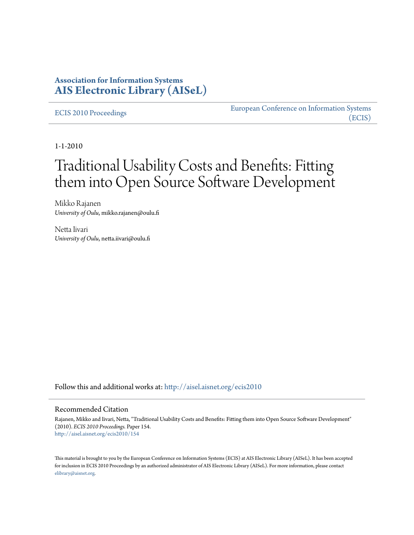## **Association for Information Systems [AIS Electronic Library \(AISeL\)](http://aisel.aisnet.org?utm_source=aisel.aisnet.org%2Fecis2010%2F154&utm_medium=PDF&utm_campaign=PDFCoverPages)**

#### [ECIS 2010 Proceedings](http://aisel.aisnet.org/ecis2010?utm_source=aisel.aisnet.org%2Fecis2010%2F154&utm_medium=PDF&utm_campaign=PDFCoverPages)

[European Conference on Information Systems](http://aisel.aisnet.org/ecis?utm_source=aisel.aisnet.org%2Fecis2010%2F154&utm_medium=PDF&utm_campaign=PDFCoverPages) [\(ECIS\)](http://aisel.aisnet.org/ecis?utm_source=aisel.aisnet.org%2Fecis2010%2F154&utm_medium=PDF&utm_campaign=PDFCoverPages)

1-1-2010

# Traditional Usability Costs and Benefits: Fitting them into Open Source Software Development

Mikko Rajanen *University of Oulu*, mikko.rajanen@oulu.fi

Netta Iivari *University of Oulu*, netta.iivari@oulu.fi

Follow this and additional works at: [http://aisel.aisnet.org/ecis2010](http://aisel.aisnet.org/ecis2010?utm_source=aisel.aisnet.org%2Fecis2010%2F154&utm_medium=PDF&utm_campaign=PDFCoverPages)

#### Recommended Citation

Rajanen, Mikko and Iivari, Netta, "Traditional Usability Costs and Benefits: Fitting them into Open Source Software Development" (2010). *ECIS 2010 Proceedings.* Paper 154. [http://aisel.aisnet.org/ecis2010/154](http://aisel.aisnet.org/ecis2010/154?utm_source=aisel.aisnet.org%2Fecis2010%2F154&utm_medium=PDF&utm_campaign=PDFCoverPages)

This material is brought to you by the European Conference on Information Systems (ECIS) at AIS Electronic Library (AISeL). It has been accepted for inclusion in ECIS 2010 Proceedings by an authorized administrator of AIS Electronic Library (AISeL). For more information, please contact [elibrary@aisnet.org.](mailto:elibrary@aisnet.org>)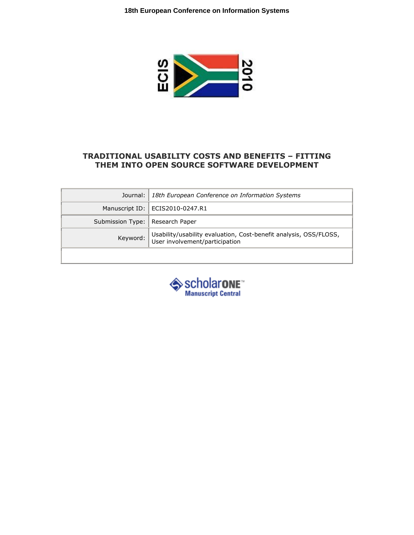

#### TRADITIONAL USABILITY COSTS AND BENEFITS – FITTING THEM INTO OPEN SOURCE SOFTWARE DEVELOPMENT

|                                   | Journal:   18th European Conference on Information Systems                 |
|-----------------------------------|----------------------------------------------------------------------------|
|                                   | Manuscript ID:   ECIS2010-0247.R1                                          |
| Submission Type:   Research Paper |                                                                            |
|                                   | Keyword: Usability/usability evaluation, Cost-benefit analysis, OSS/FLOSS, |
|                                   |                                                                            |

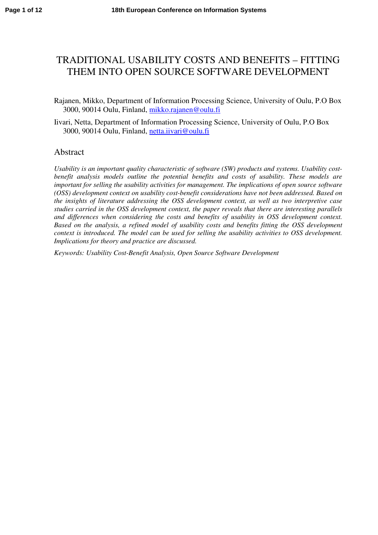# TRADITIONAL USABILITY COSTS AND BENEFITS – FITTING THEM INTO OPEN SOURCE SOFTWARE DEVELOPMENT

- Rajanen, Mikko, Department of Information Processing Science, University of Oulu, P.O Box 3000, 90014 Oulu, Finland, [mikko.rajanen@oulu.fi](mailto:mikko.rajanen@oulu.fi)
- Iivari, Netta, Department of Information Processing Science, University of Oulu, P.O Box 3000, 90014 Oulu, Finland, netta.iivari@oulu.fi

#### Abstract

*Usability is an important quality characteristic of software (SW) products and systems. Usability costbenefit analysis models outline the potential benefits and costs of usability. These models are important for selling the usability activities for management. The implications of open source software (OSS) development context on usability cost-benefit considerations have not been addressed. Based on the insights of literature addressing the OSS development context, as well as two interpretive case studies carried in the OSS development context, the paper reveals that there are interesting parallels and differences when considering the costs and benefits of usability in OSS development context. Based on the analysis, a refined model of usability costs and benefits fitting the OSS development context is introduced. The model can be used for selling the usability activities to OSS development. Implications for theory and practice are discussed.* 

*Keywords: Usability Cost-Benefit Analysis, Open Source Software Development*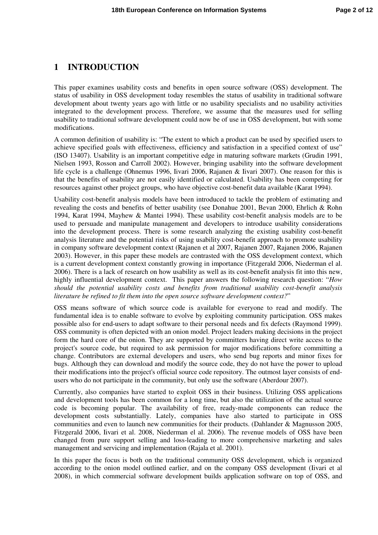#### **1 INTRODUCTION**

This paper examines usability costs and benefits in open source software (OSS) development. The status of usability in OSS development today resembles the status of usability in traditional software development about twenty years ago with little or no usability specialists and no usability activities integrated to the development process. Therefore, we assume that the measures used for selling usability to traditional software development could now be of use in OSS development, but with some modifications.

A common definition of usability is: "The extent to which a product can be used by specified users to achieve specified goals with effectiveness, efficiency and satisfaction in a specified context of use" (ISO 13407). Usability is an important competitive edge in maturing software markets (Grudin 1991, Nielsen 1993, Rosson and Carroll 2002). However, bringing usability into the software development life cycle is a challenge (Ohnemus 1996, Iivari 2006, Rajanen & Iivari 2007). One reason for this is that the benefits of usability are not easily identified or calculated. Usability has been competing for resources against other project groups, who have objective cost-benefit data available (Karat 1994).

Usability cost-benefit analysis models have been introduced to tackle the problem of estimating and revealing the costs and benefits of better usability (see Donahue 2001, Bevan 2000, Ehrlich & Rohn 1994, Karat 1994, Mayhew & Mantei 1994). These usability cost-benefit analysis models are to be used to persuade and manipulate management and developers to introduce usability considerations into the development process. There is some research analyzing the existing usability cost-benefit analysis literature and the potential risks of using usability cost-benefit approach to promote usability in company software development context (Rajanen et al 2007, Rajanen 2007, Rajanen 2006, Rajanen 2003). However, in this paper these models are contrasted with the OSS development context, which is a current development context constantly growing in importance (Fitzgerald 2006, Niederman el al. 2006). There is a lack of research on how usability as well as its cost-benefit analysis fit into this new, highly influential development context. This paper answers the following research question: "*How should the potential usability costs and benefits from traditional usability cost-benefit analysis literature be refined to fit them into the open source software development context?*"

OSS means software of which source code is available for everyone to read and modify. The fundamental idea is to enable software to evolve by exploiting community participation. OSS makes possible also for end-users to adapt software to their personal needs and fix defects (Raymond 1999). OSS community is often depicted with an onion model. Project leaders making decisions in the project form the hard core of the onion. They are supported by committers having direct write access to the project's source code, but required to ask permission for major modifications before committing a change. Contributors are external developers and users, who send bug reports and minor fixes for bugs. Although they can download and modify the source code, they do not have the power to upload their modifications into the project's official source code repository. The outmost layer consists of endusers who do not participate in the community, but only use the software (Aberdour 2007).

Currently, also companies have started to exploit OSS in their business. Utilizing OSS applications and development tools has been common for a long time, but also the utilization of the actual source code is becoming popular. The availability of free, ready-made components can reduce the development costs substantially. Lately, companies have also started to participate in OSS communities and even to launch new communities for their products. (Dahlander & Magnusson 2005, Fitzgerald 2006, Iivari et al. 2008, Niederman el al. 2006). The revenue models of OSS have been changed from pure support selling and loss-leading to more comprehensive marketing and sales management and servicing and implementation (Rajala et al. 2001).

In this paper the focus is both on the traditional community OSS development, which is organized according to the onion model outlined earlier, and on the company OSS development (Iivari et al 2008), in which commercial software development builds application software on top of OSS, and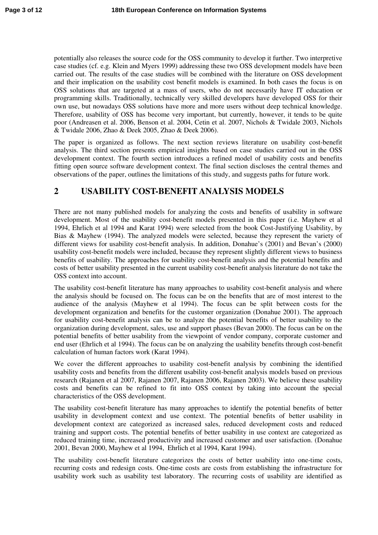potentially also releases the source code for the OSS community to develop it further. Two interpretive case studies (cf. e.g. Klein and Myers 1999) addressing these two OSS development models have been carried out. The results of the case studies will be combined with the literature on OSS development and their implication on the usability cost benefit models is examined. In both cases the focus is on OSS solutions that are targeted at a mass of users, who do not necessarily have IT education or programming skills. Traditionally, technically very skilled developers have developed OSS for their own use, but nowadays OSS solutions have more and more users without deep technical knowledge. Therefore, usability of OSS has become very important, but currently, however, it tends to be quite poor (Andreasen et al. 2006, Benson et al. 2004, Cetin et al. 2007, Nichols & Twidale 2003, Nichols & Twidale 2006, Zhao & Deek 2005, Zhao & Deek 2006).

The paper is organized as follows. The next section reviews literature on usability cost-benefit analysis. The third section presents empirical insights based on case studies carried out in the OSS development context. The fourth section introduces a refined model of usability costs and benefits fitting open source software development context. The final section discloses the central themes and observations of the paper, outlines the limitations of this study, and suggests paths for future work.

## **2 USABILITY COST-BENEFIT ANALYSIS MODELS**

There are not many published models for analyzing the costs and benefits of usability in software development. Most of the usability cost-benefit models presented in this paper (i.e. Mayhew et al 1994, Ehrlich et al 1994 and Karat 1994) were selected from the book Cost-Justifying Usability, by Bias & Mayhew (1994). The analyzed models were selected, because they represent the variety of different views for usability cost-benefit analysis. In addition, Donahue's (2001) and Bevan's (2000) usability cost-benefit models were included, because they represent slightly different views to business benefits of usability. The approaches for usability cost-benefit analysis and the potential benefits and costs of better usability presented in the current usability cost-benefit analysis literature do not take the OSS context into account.

The usability cost-benefit literature has many approaches to usability cost-benefit analysis and where the analysis should be focused on. The focus can be on the benefits that are of most interest to the audience of the analysis (Mayhew et al 1994). The focus can be split between costs for the development organization and benefits for the customer organization (Donahue 2001). The approach for usability cost-benefit analysis can be to analyze the potential benefits of better usability to the organization during development, sales, use and support phases (Bevan 2000). The focus can be on the potential benefits of better usability from the viewpoint of vendor company, corporate customer and end user (Ehrlich et al 1994). The focus can be on analyzing the usability benefits through cost-benefit calculation of human factors work (Karat 1994).

We cover the different approaches to usability cost-benefit analysis by combining the identified usability costs and benefits from the different usability cost-benefit analysis models based on previous research (Rajanen et al 2007, Rajanen 2007, Rajanen 2006, Rajanen 2003). We believe these usability costs and benefits can be refined to fit into OSS context by taking into account the special characteristics of the OSS development.

The usability cost-benefit literature has many approaches to identify the potential benefits of better usability in development context and use context. The potential benefits of better usability in development context are categorized as increased sales, reduced development costs and reduced training and support costs. The potential benefits of better usability in use context are categorized as reduced training time, increased productivity and increased customer and user satisfaction. (Donahue 2001, Bevan 2000, Mayhew et al 1994, Ehrlich et al 1994, Karat 1994).

The usability cost-benefit literature categorizes the costs of better usability into one-time costs, recurring costs and redesign costs. One-time costs are costs from establishing the infrastructure for usability work such as usability test laboratory. The recurring costs of usability are identified as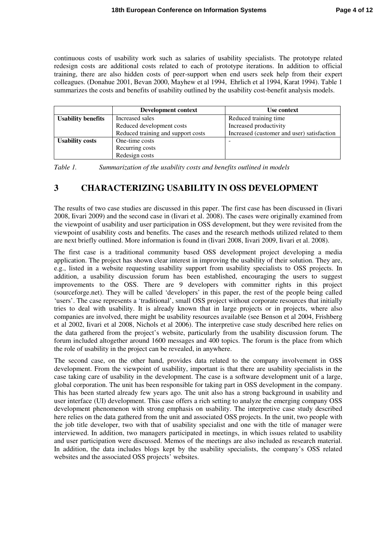continuous costs of usability work such as salaries of usability specialists. The prototype related redesign costs are additional costs related to each of prototype iterations. In addition to official training, there are also hidden costs of peer-support when end users seek help from their expert colleagues. (Donahue 2001, Bevan 2000, Mayhew et al 1994, Ehrlich et al 1994, Karat 1994). Table 1 summarizes the costs and benefits of usability outlined by the usability cost-benefit analysis models.

|                           | Development context                | Use context                                |
|---------------------------|------------------------------------|--------------------------------------------|
| <b>Usability benefits</b> | Increased sales                    | Reduced training time                      |
|                           | Reduced development costs          | Increased productivity                     |
|                           | Reduced training and support costs | Increased (customer and user) satisfaction |
| <b>Usability costs</b>    | One-time costs                     |                                            |
|                           | Recurring costs                    |                                            |
|                           | Redesign costs                     |                                            |

*Table 1. Summarization of the usability costs and benefits outlined in models* 

## **3 CHARACTERIZING USABILITY IN OSS DEVELOPMENT**

The results of two case studies are discussed in this paper. The first case has been discussed in (Iivari 2008, Iivari 2009) and the second case in (Iivari et al. 2008). The cases were originally examined from the viewpoint of usability and user participation in OSS development, but they were revisited from the viewpoint of usability costs and benefits. The cases and the research methods utilized related to them are next briefly outlined. More information is found in (Iivari 2008, Iivari 2009, Iivari et al. 2008).

The first case is a traditional community based OSS development project developing a media application. The project has shown clear interest in improving the usability of their solution. They are, e.g., listed in a website requesting usability support from usability specialists to OSS projects. In addition, a usability discussion forum has been established, encouraging the users to suggest improvements to the OSS. There are 9 developers with committer rights in this project (sourceforge.net). They will be called 'developers' in this paper, the rest of the people being called 'users'. The case represents a 'traditional', small OSS project without corporate resources that initially tries to deal with usability. It is already known that in large projects or in projects, where also companies are involved, there might be usability resources available (see Benson et al 2004, Frishberg et al 2002, Iivari et al 2008, Nichols et al 2006). The interpretive case study described here relies on the data gathered from the project's website, particularly from the usability discussion forum. The forum included altogether around 1600 messages and 400 topics. The forum is the place from which the role of usability in the project can be revealed, in anywhere.

The second case, on the other hand, provides data related to the company involvement in OSS development. From the viewpoint of usability, important is that there are usability specialists in the case taking care of usability in the development. The case is a software development unit of a large, global corporation. The unit has been responsible for taking part in OSS development in the company. This has been started already few years ago. The unit also has a strong background in usability and user interface (UI) development. This case offers a rich setting to analyze the emerging company OSS development phenomenon with strong emphasis on usability. The interpretive case study described here relies on the data gathered from the unit and associated OSS projects. In the unit, two people with the job title developer, two with that of usability specialist and one with the title of manager were interviewed. In addition, two managers participated in meetings, in which issues related to usability and user participation were discussed. Memos of the meetings are also included as research material. In addition, the data includes blogs kept by the usability specialists, the company's OSS related websites and the associated OSS projects' websites.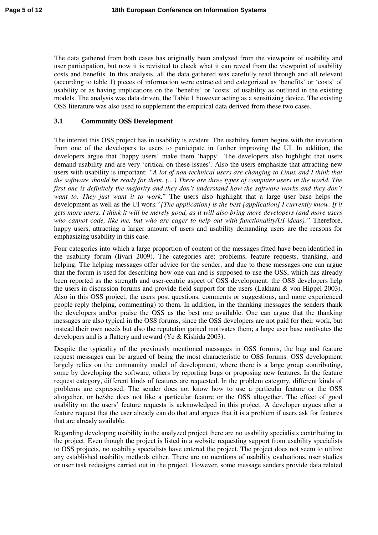The data gathered from both cases has originally been analyzed from the viewpoint of usability and user participation, but now it is revisited to check what it can reveal from the viewpoint of usability costs and benefits. In this analysis, all the data gathered was carefully read through and all relevant (according to table 1) pieces of information were extracted and categorized as 'benefits' or 'costs' of usability or as having implications on the 'benefits' or 'costs' of usability as outlined in the existing models. The analysis was data driven, the Table 1 however acting as a sensitizing device. The existing OSS literature was also used to supplement the empirical data derived from these two cases.

#### **3.1 Community OSS Development**

The interest this OSS project has in usability is evident. The usability forum begins with the invitation from one of the developers to users to participate in further improving the UI. In addition, the developers argue that 'happy users' make them 'happy'. The developers also highlight that users demand usability and are very 'critical on these issues'. Also the users emphasize that attracting new users with usability is important: *"A lot of non-technical users are changing to Linux and I think that the software should be ready for them. (…) There are three types of computer users in the world. The first one is definitely the majority and they don't understand how the software works and they don't want to. They just want it to work.*" The users also highlight that a large user base helps the development as well as the UI work "*[The application] is the best [application] I currently know. If it gets more users, I think it will be merely good, as it will also bring more developers (and more users who cannot code, like me, but who are eager to help out with functionality/UI ideas)."* Therefore, happy users, attracting a larger amount of users and usability demanding users are the reasons for emphasizing usability in this case.

Four categories into which a large proportion of content of the messages fitted have been identified in the usability forum (Iivari 2009). The categories are: problems, feature requests, thanking, and helping. The helping messages offer advice for the sender, and due to these messages one can argue that the forum is used for describing how one can and is supposed to use the OSS, which has already been reported as the strength and user-centric aspect of OSS development: the OSS developers help the users in discussion forums and provide field support for the users (Lakhani & von Hippel 2003). Also in this OSS project, the users post questions, comments or suggestions, and more experienced people reply (helping, commenting) to them. In addition, in the thanking messages the senders thank the developers and/or praise the OSS as the best one available. One can argue that the thanking messages are also typical in the OSS forums, since the OSS developers are not paid for their work, but instead their own needs but also the reputation gained motivates them; a large user base motivates the developers and is a flattery and reward (Ye & Kishida 2003).

Despite the typicality of the previously mentioned messages in OSS forums, the bug and feature request messages can be argued of being the most characteristic to OSS forums. OSS development largely relies on the community model of development, where there is a large group contributing, some by developing the software, others by reporting bugs or proposing new features. In the feature request category, different kinds of features are requested. In the problem category, different kinds of problems are expressed. The sender does not know how to use a particular feature or the OSS altogether, or he/she does not like a particular feature or the OSS altogether. The effect of good usability on the users' feature requests is acknowledged in this project. A developer argues after a feature request that the user already can do that and argues that it is a problem if users ask for features that are already available.

Regarding developing usability in the analyzed project there are no usability specialists contributing to the project. Even though the project is listed in a website requesting support from usability specialists to OSS projects, no usability specialists have entered the project. The project does not seem to utilize any established usability methods either. There are no mentions of usability evaluations, user studies or user task redesigns carried out in the project. However, some message senders provide data related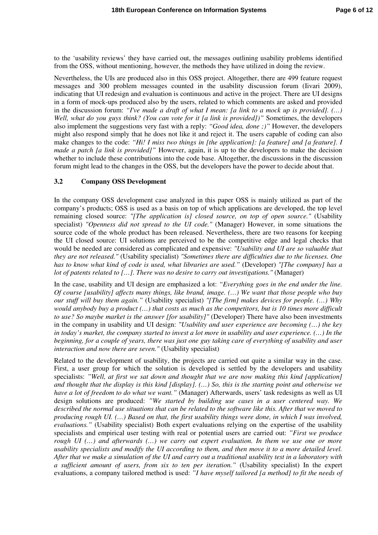to the 'usability reviews' they have carried out, the messages outlining usability problems identified from the OSS, without mentioning, however, the methods they have utilized in doing the review.

Nevertheless, the UIs are produced also in this OSS project. Altogether, there are 499 feature request messages and 300 problem messages counted in the usability discussion forum (Iivari 2009), indicating that UI redesign and evaluation is continuous and active in the project. There are UI designs in a form of mock-ups produced also by the users, related to which comments are asked and provided in the discussion forum: *"I've made a draft of what I mean: [a link to a mock up is provided]. (…) Well, what do you guys think? (You can vote for it [\[a](http://bugs.kde.org/show_bug.cgi?id=133340) link is provided])"* Sometimes, the developers also implement the suggestions very fast with a reply: *"Good idea, done ;)"* However, the developers might also respond simply that he does not like it and reject it. The users capable of coding can also make changes to the code: *"Hi! I miss two things in [the application]: [a feature] and [a feature]. I made a patch [a link is provided]*" However, again, it is up to the developers to make the decision whether to include these contributions into the code base. Altogether, the discussions in the discussion forum might lead to the changes in the OSS, but the developers have the power to decide about that.

#### **3.2 Company OSS Development**

In the company OSS development case analyzed in this paper OSS is mainly utilized as part of the company's products; OSS is used as a basis on top of which applications are developed, the top level remaining closed source: *"[The application is] closed source, on top of open source."* (Usability specialist) *"Openness did not spread to the UI code."* (Manager) However, in some situations the source code of the whole product has been released. Nevertheless, there are two reasons for keeping the UI closed source: UI solutions are perceived to be the competitive edge and legal checks that would be needed are considered as complicated and expensive: *"Usability and UI are so valuable that they are not released."* (Usability specialist) *"Sometimes there are difficulties due to the licenses. One has to know what kind of code is used, what libraries are used."* (Developer) *"[The company] has a lot of patents related to […]. There was no desire to carry out investigations."* (Manager)

In the case, usability and UI design are emphasized a lot: *"Everything goes in the end under the line. Of course [usability] affects many things, like brand, image. (…) We want that those people who buy our stuff will buy them again."* (Usability specialist) *"[The firm] makes devices for people. (…) Why would anybody buy a product (…) that costs as much as the competitors, but is 10 times more difficult to use? So maybe market is the answer [for usability]"* (Developer) There have also been investments in the company in usability and UI design: *"Usability and user experience are becoming (…) the key in today's market, the company started to invest a lot more in usability and user experience. (…) In the beginning, for a couple of years, there was just one guy taking care of everything of usability and user interaction and now there are seven."* (Usability specialist)

Related to the development of usability, the projects are carried out quite a similar way in the case. First, a user group for which the solution is developed is settled by the developers and usability specialists: *"Well, at first we sat down and thought that we are now making this kind [application] and thought that the display is this kind [display]. (…) So, this is the starting point and otherwise we have a lot of freedom to do what we want."* (Manager) Afterwards, users' task redesigns as well as UI design solutions are produced: *"We started by building use cases in a user centered way. We described the normal use situations that can be related to the software like this. After that we moved to producing rough UI. (…) Based on that, the first usability things were done, in which I was involved, evaluations."* (Usability specialist) Both expert evaluations relying on the expertise of the usability specialists and empirical user testing with real or potential users are carried out: *"First we produce rough UI (…) and afterwards (…) we carry out expert evaluation. In them we use one or more usability specialists and modify the UI according to them, and then move it to a more detailed level. After that we make a simulation of the UI and carry out a traditional usability test in a laboratory with a sufficient amount of users, from six to ten per iteration."* (Usability specialist) In the expert evaluations, a company tailored method is used: *"I have myself tailored [a method] to fit the needs of*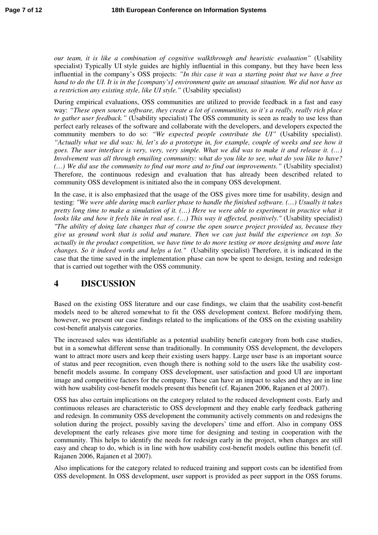*our team, it is like a combination of cognitive walkthrough and heuristic evaluation"* (Usability specialist) Typically UI style guides are highly influential in this company, but they have been less influential in the company's OSS projects: *"In this case it was a starting point that we have a free hand to do the UI. It is in the [company's] environment quite an unusual situation. We did not have as a restriction any existing style, like UI style."* (Usability specialist)

During empirical evaluations, OSS communities are utilized to provide feedback in a fast and easy way: *"These open source software, they create a lot of communities, so it's a really, really rich place to gather user feedback."* (Usability specialist) The OSS community is seen as ready to use less than perfect early releases of the software and collaborate with the developers, and developers expected the community members to do so: *"We expected people contribute the UI"* (Usability specialist). *"Actually what we did was: hi, let's do a prototype in, for example, couple of weeks and see how it goes. The user interface is very, very, very simple. What we did was to make it and release it. (…) Involvement was all through emailing community: what do you like to see, what do you like to have? (…) We did use the community to find out more and to find out improvements."* (Usability specialist) Therefore, the continuous redesign and evaluation that has already been described related to community OSS development is initiated also the in company OSS development.

In the case, it is also emphasized that the usage of the OSS gives more time for usability, design and testing: *"We were able during much earlier phase to handle the finished software. (…) Usually it takes pretty long time to make a simulation of it. (…) Here we were able to experiment in practice what it looks like and how it feels like in real use. (…) This way it affected, positively."* (Usability specialist) *"The ability of doing late changes that of course the open source project provided us, because they give us ground work that is solid and mature. Then we can just build the experience on top. So actually in the product competition, we have time to do more testing or more designing and more late changes. So it indeed works and helps a lot."* (Usability specialist) Therefore, it is indicated in the case that the time saved in the implementation phase can now be spent to design, testing and redesign that is carried out together with the OSS community.

## **4 DISCUSSION**

Based on the existing OSS literature and our case findings, we claim that the usability cost-benefit models need to be altered somewhat to fit the OSS development context. Before modifying them, however, we present our case findings related to the implications of the OSS on the existing usability cost-benefit analysis categories.

The increased sales was identifiable as a potential usability benefit category from both case studies, but in a somewhat different sense than traditionally. In community OSS development, the developers want to attract more users and keep their existing users happy. Large user base is an important source of status and peer recognition, even though there is nothing sold to the users like the usability costbenefit models assume. In company OSS development, user satisfaction and good UI are important image and competitive factors for the company. These can have an impact to sales and they are in line with how usability cost-benefit models present this benefit (cf. Rajanen 2006, Rajanen et al 2007).

OSS has also certain implications on the category related to the reduced development costs. Early and continuous releases are characteristic to OSS development and they enable early feedback gathering and redesign. In community OSS development the community actively comments on and redesigns the solution during the project, possibly saving the developers' time and effort. Also in company OSS development the early releases give more time for designing and testing in cooperation with the community. This helps to identify the needs for redesign early in the project, when changes are still easy and cheap to do, which is in line with how usability cost-benefit models outline this benefit (cf. Rajanen 2006, Rajanen et al 2007).

Also implications for the category related to reduced training and support costs can be identified from OSS development. In OSS development, user support is provided as peer support in the OSS forums.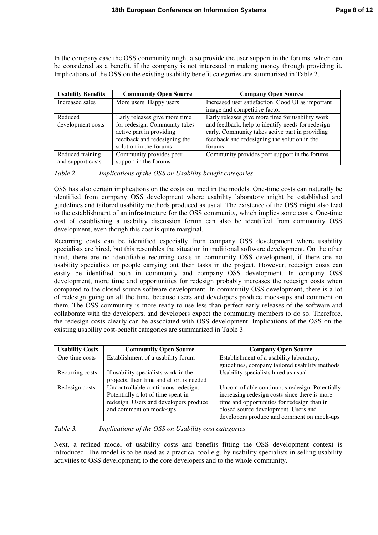In the company case the OSS community might also provide the user support in the forums, which can be considered as a benefit, if the company is not interested in making money through providing it. Implications of the OSS on the existing usability benefit categories are summarized in Table 2.

| <b>Usability Benefits</b> | <b>Community Open Source</b>  | <b>Company Open Source</b>                        |
|---------------------------|-------------------------------|---------------------------------------------------|
| Increased sales           | More users. Happy users       | Increased user satisfaction. Good UI as important |
|                           |                               | image and competitive factor                      |
| Reduced                   | Early releases give more time | Early releases give more time for usability work  |
| development costs         | for redesign. Community takes | and feedback, help to identify needs for redesign |
|                           | active part in providing      | early. Community takes active part in providing   |
|                           | feedback and redesigning the  | feedback and redesigning the solution in the      |
|                           | solution in the forums        | forums                                            |
| Reduced training          | Community provides peer       | Community provides peer support in the forums     |
| and support costs         | support in the forums         |                                                   |

*Table 2. Implications of the OSS on Usability benefit categories* 

OSS has also certain implications on the costs outlined in the models. One-time costs can naturally be identified from company OSS development where usability laboratory might be established and guidelines and tailored usability methods produced as usual. The existence of the OSS might also lead to the establishment of an infrastructure for the OSS community, which implies some costs. One-time cost of establishing a usability discussion forum can also be identified from community OSS development, even though this cost is quite marginal.

Recurring costs can be identified especially from company OSS development where usability specialists are hired, but this resembles the situation in traditional software development. On the other hand, there are no identifiable recurring costs in community OSS development, if there are no usability specialists or people carrying out their tasks in the project. However, redesign costs can easily be identified both in community and company OSS development. In company OSS development, more time and opportunities for redesign probably increases the redesign costs when compared to the closed source software development. In community OSS development, there is a lot of redesign going on all the time, because users and developers produce mock-ups and comment on them. The OSS community is more ready to use less than perfect early releases of the software and collaborate with the developers, and developers expect the community members to do so. Therefore, the redesign costs clearly can be associated with OSS development. Implications of the OSS on the existing usability cost-benefit categories are summarized in Table 3.

| <b>Usability Costs</b> | <b>Community Open Source</b>              | <b>Company Open Source</b>                      |
|------------------------|-------------------------------------------|-------------------------------------------------|
| One-time costs         | Establishment of a usability forum        | Establishment of a usability laboratory,        |
|                        |                                           | guidelines, company tailored usability methods  |
| Recurring costs        | If usability specialists work in the      | Usability specialists hired as usual            |
|                        | projects, their time and effort is needed |                                                 |
| Redesign costs         | Uncontrollable continuous redesign.       | Uncontrollable continuous redesign. Potentially |
|                        | Potentially a lot of time spent in        | increasing redesign costs since there is more   |
|                        | redesign. Users and developers produce    | time and opportunities for redesign than in     |
|                        | and comment on mock-ups                   | closed source development. Users and            |
|                        |                                           | developers produce and comment on mock-ups      |

*Table 3. Implications of the OSS on Usability cost categories* 

Next, a refined model of usability costs and benefits fitting the OSS development context is introduced. The model is to be used as a practical tool e.g. by usability specialists in selling usability activities to OSS development; to the core developers and to the whole community.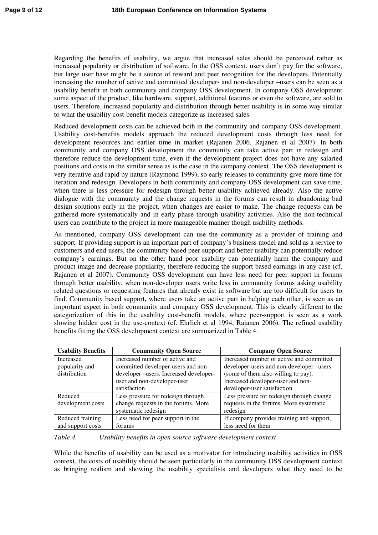Regarding the benefits of usability, we argue that increased sales should be perceived rather as increased popularity or distribution of software. In the OSS context, users don't pay for the software, but large user base might be a source of reward and peer recognition for the developers. Potentially increasing the number of active and committed developer- and non-developer –users can be seen as a usability benefit in both community and company OSS development. In company OSS development some aspect of the product, like hardware, support, additional features or even the software, are sold to users. Therefore, increased popularity and distribution through better usability is in some way similar to what the usability cost-benefit models categorize as increased sales.

Reduced development costs can be achieved both in the community and company OSS development. Usability cost-benefits models approach the reduced development costs through less need for development resources and earlier time in market (Rajanen 2006, Rajanen et al 2007). In both community and company OSS development the community can take active part in redesign and therefore reduce the development time, even if the development project does not have any salaried positions and costs in the similar sense as is the case in the company context. The OSS development is very iterative and rapid by nature (Raymond 1999), so early releases to community give more time for iteration and redesign. Developers in both community and company OSS development can save time, when there is less pressure for redesign through better usability achieved already. Also the active dialogue with the community and the change requests in the forums can result in abandoning bad design solutions early in the project, when changes are easier to make. The change requests can be gathered more systematically and in early phase through usability activities. Also the non-technical users can contribute to the project in more manageable manner though usability methods.

As mentioned, company OSS development can use the community as a provider of training and support. If providing support is an important part of company's business model and sold as a service to customers and end-users, the community based peer support and better usability can potentially reduce company's earnings. But on the other hand poor usability can potentially harm the company and product image and decrease popularity, therefore reducing the support based earnings in any case (cf. Rajanen et al 2007). Community OSS development can have less need for peer support in forums through better usability, when non-developer users write less in community forums asking usability related questions or requesting features that already exist in software but are too difficult for users to find. Community based support, where users take an active part in helping each other, is seen as an important aspect in both community and company OSS development. This is clearly different to the categorization of this in the usability cost-benefit models, where peer-support is seen as a work slowing hidden cost in the use-context (cf. Ehrlich et al 1994, Rajanen 2006). The refined usability benefits fitting the OSS development context are summarized in Table 4.

| <b>Usability Benefits</b> | <b>Community Open Source</b>          | <b>Company Open Source</b>                |
|---------------------------|---------------------------------------|-------------------------------------------|
| Increased                 | Increased number of active and        | Increased number of active and committed  |
| popularity and            | committed developer-users and non-    | developer-users and non-developer-users   |
| distribution              | developer-users. Increased developer- | (some of them also willing to pay).       |
|                           | user and non-developer-user           | Increased developer-user and non-         |
|                           | satisfaction                          | developer-user satisfaction               |
| Reduced                   | Less pressure for redesign through    | Less pressure for redesign through change |
| development costs         | change requests in the forums. More   | requests in the forums. More systematic   |
|                           | systematic redesign                   | redesign                                  |
| Reduced training          | Less need for peer support in the     | If company provides training and support, |
| and support costs         | forums                                | less need for them                        |

*Table 4. Usability benefits in open source software development context* 

While the benefits of usability can be used as a motivator for introducing usability activities in OSS context, the costs of usability should be seen particularly in the community OSS development context as bringing realism and showing the usability specialists and developers what they need to be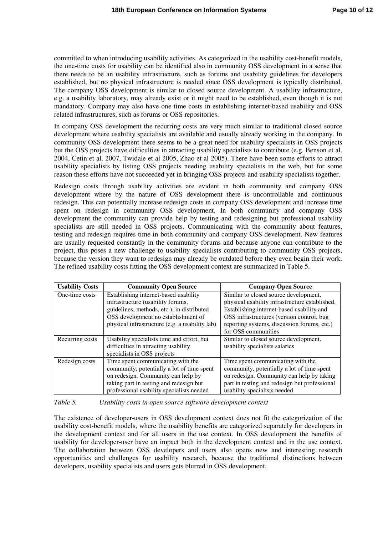committed to when introducing usability activities. As categorized in the usability cost-benefit models, the one-time costs for usability can be identified also in community OSS development in a sense that there needs to be an usability infrastructure, such as forums and usability guidelines for developers established, but no physical infrastructure is needed since OSS development is typically distributed. The company OSS development is similar to closed source development. A usability infrastructure, e.g. a usability laboratory, may already exist or it might need to be established, even though it is not mandatory. Company may also have one-time costs in establishing internet-based usability and OSS related infrastructures, such as forums or OSS repositories.

In company OSS development the recurring costs are very much similar to traditional closed source development where usability specialists are available and usually already working in the company. In community OSS development there seems to be a great need for usability specialists in OSS projects but the OSS projects have difficulties in attracting usability specialists to contribute (e.g. Benson et al. 2004, Cetin et al. 2007, Twidale et al 2005, Zhao et al 2005). There have been some efforts to attract usability specialists by listing OSS projects needing usability specialists in the web, but for some reason these efforts have not succeeded yet in bringing OSS projects and usability specialists together.

Redesign costs through usability activities are evident in both community and company OSS development where by the nature of OSS development there is uncontrollable and continuous redesign. This can potentially increase redesign costs in company OSS development and increase time spent on redesign in community OSS development. In both community and company OSS development the community can provide help by testing and redesigning but professional usability specialists are still needed in OSS projects. Communicating with the community about features, testing and redesign requires time in both community and company OSS development. New features are usually requested constantly in the community forums and because anyone can contribute to the project, this poses a new challenge to usability specialists contributing to community OSS projects, because the version they want to redesign may already be outdated before they even begin their work. The refined usability costs fitting the OSS development context are summarized in Table 5.

| <b>Usability Costs</b> | <b>Community Open Source</b>                   | <b>Company Open Source</b>                     |
|------------------------|------------------------------------------------|------------------------------------------------|
| One-time costs         | Establishing internet-based usability          | Similar to closed source development,          |
|                        | infrastructure (usability forums,              | physical usability infrastructure established. |
|                        | guidelines, methods, etc.), in distributed     | Establishing internet-based usability and      |
|                        | OSS development no establishment of            | OSS infrastructures (version control, bug      |
|                        | physical infrastructure (e.g. a usability lab) | reporting systems, discussion forums, etc.)    |
|                        |                                                | for OSS communities                            |
| Recurring costs        | Usability specialists time and effort, but     | Similar to closed source development,          |
|                        | difficulties in attracting usability           | usability specialists salaries                 |
|                        | specialists in OSS projects                    |                                                |
| Redesign costs         | Time spent communicating with the              | Time spent communicating with the              |
|                        | community, potentially a lot of time spent     | community, potentially a lot of time spent     |
|                        | on redesign. Community can help by             | on redesign. Community can help by taking      |
|                        | taking part in testing and redesign but        | part in testing and redesign but professional  |
|                        | professional usability specialists needed      | usability specialists needed                   |

*Table 5. Usability costs in open source software development context* 

The existence of developer-users in OSS development context does not fit the categorization of the usability cost-benefit models, where the usability benefits are categorized separately for developers in the development context and for all users in the use context. In OSS development the benefits of usability for developer-user have an impact both in the development context and in the use context. The collaboration between OSS developers and users also opens new and interesting research opportunities and challenges for usability research, because the traditional distinctions between developers, usability specialists and users gets blurred in OSS development.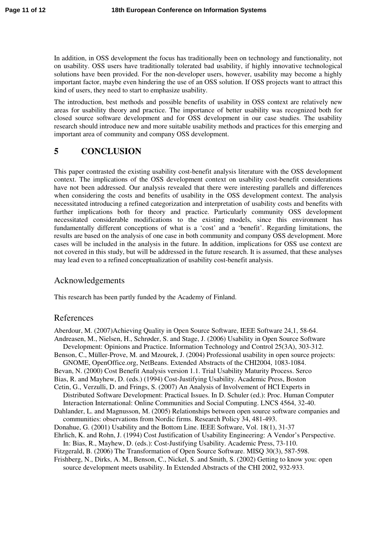In addition, in OSS development the focus has traditionally been on technology and functionality, not on usability. OSS users have traditionally tolerated bad usability, if highly innovative technological solutions have been provided. For the non-developer users, however, usability may become a highly important factor, maybe even hindering the use of an OSS solution. If OSS projects want to attract this kind of users, they need to start to emphasize usability.

The introduction, best methods and possible benefits of usability in OSS context are relatively new areas for usability theory and practice. The importance of better usability was recognized both for closed source software development and for OSS development in our case studies. The usability research should introduce new and more suitable usability methods and practices for this emerging and important area of community and company OSS development.

# **5 CONCLUSION**

This paper contrasted the existing usability cost-benefit analysis literature with the OSS development context. The implications of the OSS development context on usability cost-benefit considerations have not been addressed. Our analysis revealed that there were interesting parallels and differences when considering the costs and benefits of usability in the OSS development context. The analysis necessitated introducing a refined categorization and interpretation of usability costs and benefits with further implications both for theory and practice. Particularly community OSS development necessitated considerable modifications to the existing models, since this environment has fundamentally different conceptions of what is a 'cost' and a 'benefit'. Regarding limitations, the results are based on the analysis of one case in both community and company OSS development. More cases will be included in the analysis in the future. In addition, implications for OSS use context are not covered in this study, but will be addressed in the future research. It is assumed, that these analyses may lead even to a refined conceptualization of usability cost-benefit analysis.

### Acknowledgements

This research has been partly funded by the Academy of Finland.

#### References

Aberdour, M. (2007)Achieving Quality in Open Source Software, IEEE Software 24,1, 58-64. Andreasen, M., Nielsen, H., Schrøder, S. and Stage, J. (2006) Usability in Open Source Software Development: Opinions and Practice. Information Technology and Control 25(3A), 303-312. Benson, C., Müller-Prove, M. and Mzourek, J. (2004) Professional usability in open source projects: GNOME, OpenOffice.org, NetBeans. Extended Abstracts of the CHI2004, 1083-1084. Bevan, N. (2000) Cost Benefit Analysis version 1.1. Trial Usability Maturity Process. Serco Bias, R. and Mayhew, D. (eds.) (1994) Cost-Justifying Usability. Academic Press, Boston Cetin, G., Verzulli, D. and Frings, S. (2007) An Analysis of Involvement of HCI Experts in Distributed Software Development: Practical Issues. In D. Schuler (ed.): Proc. Human Computer Interaction International: Online Communities and Social Computing. LNCS 4564, 32-40. Dahlander, L. and Magnusson, M. (2005) Relationships between open source software companies and communities: observations from Nordic firms. Research Policy 34, 481-493. Donahue, G. (2001) Usability and the Bottom Line. IEEE Software, Vol. 18(1), 31-37 Ehrlich, K. and Rohn, J. (1994) Cost Justification of Usability Engineering: A Vendor's Perspective. In: Bias, R., Mayhew, D. (eds.): Cost-Justifying Usability. Academic Press, 73-110. Fitzgerald, B. (2006) The Transformation of Open Source Software. MISQ 30(3), 587-598. Frishberg, N., Dirks, A. M., Benson, C., Nickel, S. and Smith, S. (2002) Getting to know you: open source development meets usability. In Extended Abstracts of the CHI 2002, 932-933.